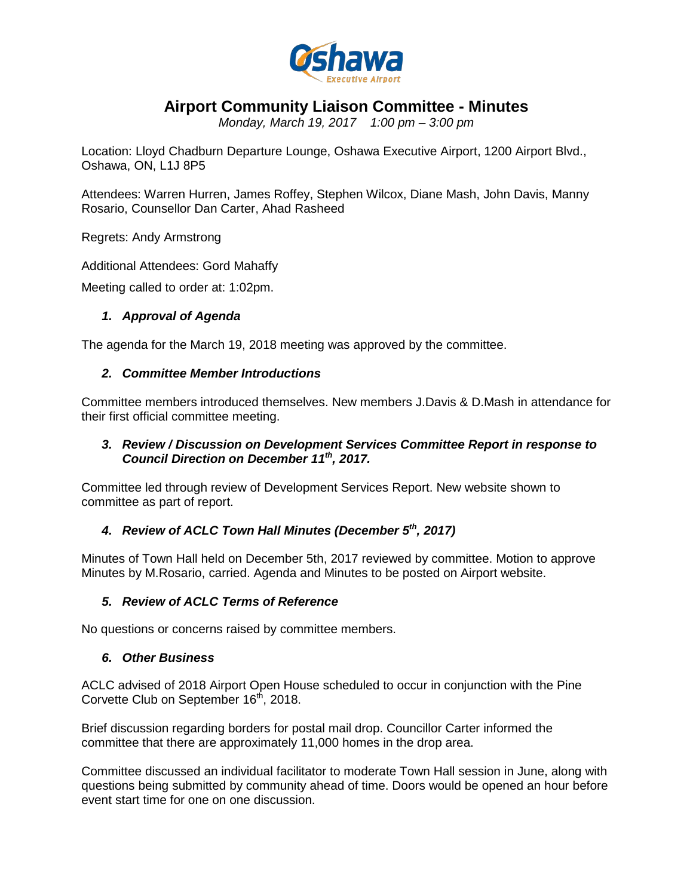

# **Airport Community Liaison Committee - Minutes**

*Monday, March 19, 2017 1:00 pm – 3:00 pm*

Location: Lloyd Chadburn Departure Lounge, Oshawa Executive Airport, 1200 Airport Blvd., Oshawa, ON, L1J 8P5

Attendees: Warren Hurren, James Roffey, Stephen Wilcox, Diane Mash, John Davis, Manny Rosario, Counsellor Dan Carter, Ahad Rasheed

Regrets: Andy Armstrong

Additional Attendees: Gord Mahaffy

Meeting called to order at: 1:02pm.

#### *1. Approval of Agenda*

The agenda for the March 19, 2018 meeting was approved by the committee.

### *2. Committee Member Introductions*

Committee members introduced themselves. New members J.Davis & D.Mash in attendance for their first official committee meeting.

#### *3. Review / Discussion on Development Services Committee Report in response to Council Direction on December 11th, 2017.*

Committee led through review of Development Services Report. New website shown to committee as part of report.

## *4. Review of ACLC Town Hall Minutes (December 5th, 2017)*

Minutes of Town Hall held on December 5th, 2017 reviewed by committee. Motion to approve Minutes by M.Rosario, carried. Agenda and Minutes to be posted on Airport website.

#### *5. Review of ACLC Terms of Reference*

No questions or concerns raised by committee members.

#### *6. Other Business*

ACLC advised of 2018 Airport Open House scheduled to occur in conjunction with the Pine Corvette Club on September 16<sup>th</sup>, 2018.

Brief discussion regarding borders for postal mail drop. Councillor Carter informed the committee that there are approximately 11,000 homes in the drop area.

Committee discussed an individual facilitator to moderate Town Hall session in June, along with questions being submitted by community ahead of time. Doors would be opened an hour before event start time for one on one discussion.